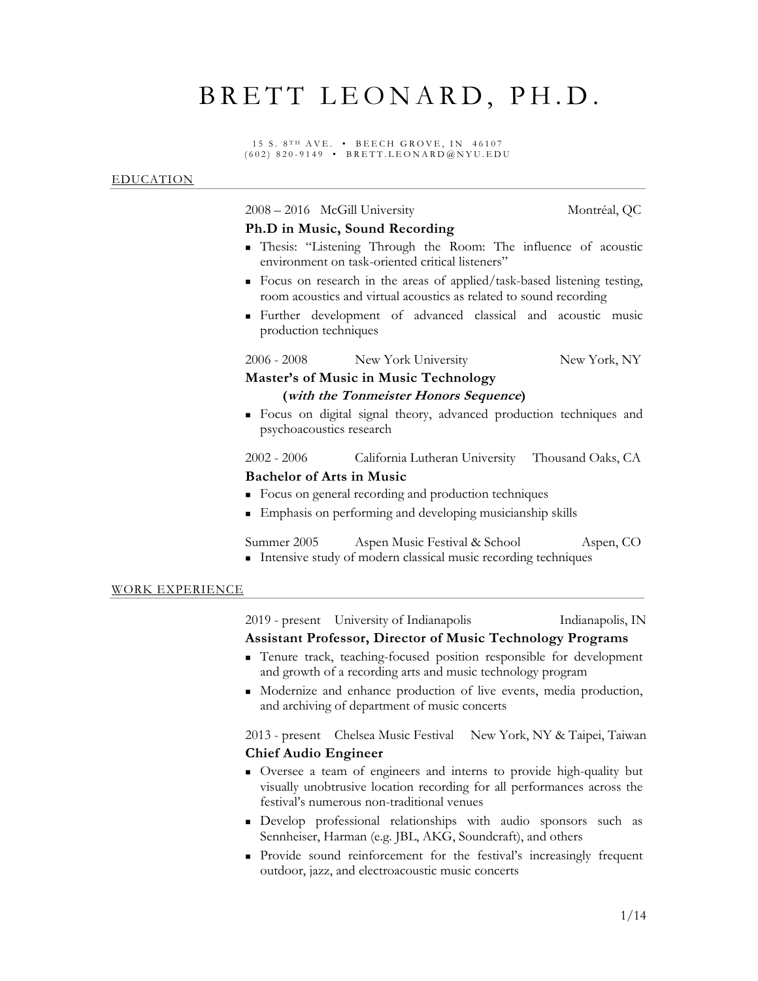# BRETT LEONARD, PH.D.

#### 15 S. 8<sup>TH</sup> AVE. • BEECH GROVE, IN 46107  $(602)$  820-9149 • BRETT.LEONARD  $@NYU.EDU$

### EDUCATION

## 2008 – 2016 McGill University Montréal, QC

### **Ph.D in Music, Sound Recording**

- <sup>n</sup> Thesis: "Listening Through the Room: The influence of acoustic environment on task-oriented critical listeners"
- <sup>n</sup> Focus on research in the areas of applied/task-based listening testing, room acoustics and virtual acoustics as related to sound recording
- <sup>n</sup> Further development of advanced classical and acoustic music production techniques

2006 - 2008 New York University New York, NY

## **Master's of Music in Music Technology (with the Tonmeister Honors Sequence)**

<sup>n</sup> Focus on digital signal theory, advanced production techniques and psychoacoustics research

2002 - 2006 California Lutheran University Thousand Oaks, CA **Bachelor of Arts in Music**

- Focus on general recording and production techniques
- <sup>n</sup> Emphasis on performing and developing musicianship skills

| Summer 2005 | Aspen Music Festival & School | Aspen, CO |
|-------------|-------------------------------|-----------|
|-------------|-------------------------------|-----------|

<sup>n</sup> Intensive study of modern classical music recording techniques

### WORK EXPERIENCE

2019 - present University of Indianapolis Indianapolis, IN

### **Assistant Professor, Director of Music Technology Programs**

- <sup>n</sup> Tenure track, teaching-focused position responsible for development and growth of a recording arts and music technology program
- <sup>n</sup> Modernize and enhance production of live events, media production, and archiving of department of music concerts

# 2013 - present Chelsea Music Festival New York, NY & Taipei, Taiwan **Chief Audio Engineer**

- <sup>n</sup> Oversee a team of engineers and interns to provide high-quality but visually unobtrusive location recording for all performances across the festival's numerous non-traditional venues
- <sup>n</sup> Develop professional relationships with audio sponsors such as Sennheiser, Harman (e.g. JBL, AKG, Soundcraft), and others
- <sup>n</sup> Provide sound reinforcement for the festival's increasingly frequent outdoor, jazz, and electroacoustic music concerts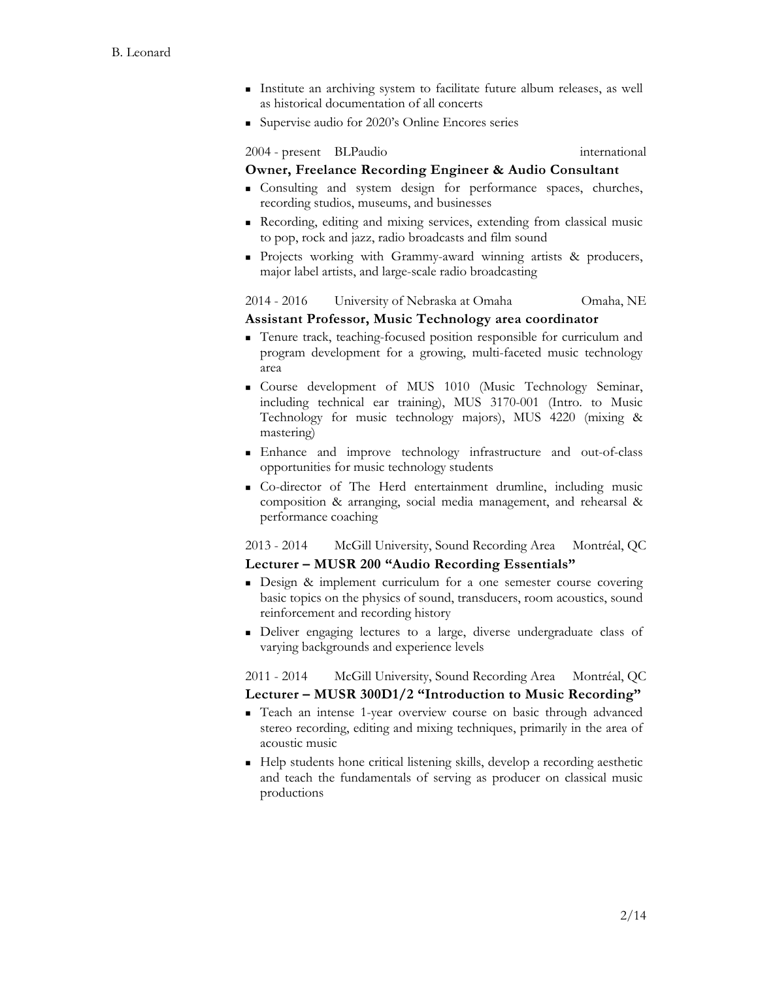- <sup>n</sup> Institute an archiving system to facilitate future album releases, as well as historical documentation of all concerts
- Supervise audio for 2020's Online Encores series

2004 - present BLPaudio international

# **Owner, Freelance Recording Engineer & Audio Consultant**

- <sup>n</sup> Consulting and system design for performance spaces, churches, recording studios, museums, and businesses
- <sup>n</sup> Recording, editing and mixing services, extending from classical music to pop, rock and jazz, radio broadcasts and film sound
- <sup>n</sup> Projects working with Grammy-award winning artists & producers, major label artists, and large-scale radio broadcasting

2014 - 2016 University of Nebraska at Omaha Comaha, NE

# **Assistant Professor, Music Technology area coordinator**

- <sup>n</sup> Tenure track, teaching-focused position responsible for curriculum and program development for a growing, multi-faceted music technology area
- <sup>n</sup> Course development of MUS 1010 (Music Technology Seminar, including technical ear training), MUS 3170-001 (Intro. to Music Technology for music technology majors), MUS 4220 (mixing & mastering)
- <sup>n</sup> Enhance and improve technology infrastructure and out-of-class opportunities for music technology students
- <sup>n</sup> Co-director of The Herd entertainment drumline, including music composition & arranging, social media management, and rehearsal & performance coaching

# 2013 - 2014 McGill University, Sound Recording Area Montréal, QC **Lecturer – MUSR 200 "Audio Recording Essentials"**

- <sup>n</sup> Design & implement curriculum for a one semester course covering basic topics on the physics of sound, transducers, room acoustics, sound reinforcement and recording history
- <sup>n</sup> Deliver engaging lectures to a large, diverse undergraduate class of varying backgrounds and experience levels

2011 - 2014 McGill University, Sound Recording Area Montréal, QC **Lecturer – MUSR 300D1/2 "Introduction to Music Recording"**

- <sup>n</sup> Teach an intense 1-year overview course on basic through advanced stereo recording, editing and mixing techniques, primarily in the area of acoustic music
- <sup>n</sup> Help students hone critical listening skills, develop a recording aesthetic and teach the fundamentals of serving as producer on classical music productions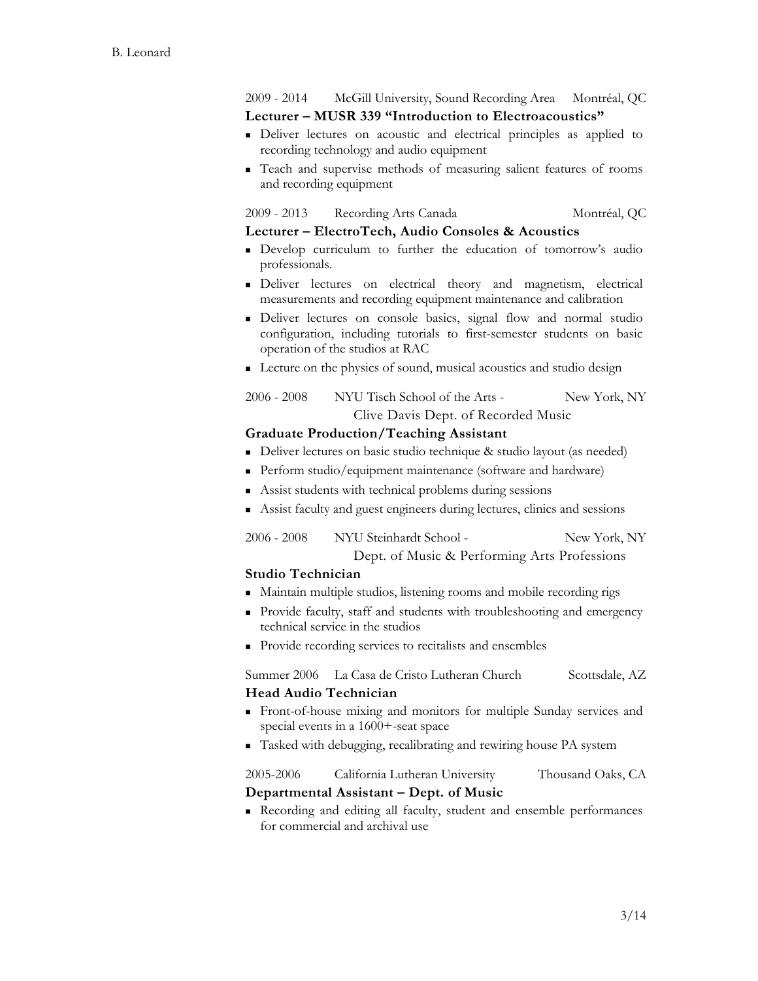2009 - 2014 McGill University, Sound Recording Area Montréal, QC **Lecturer – MUSR 339 "Introduction to Electroacoustics"**

- <sup>n</sup> Deliver lectures on acoustic and electrical principles as applied to recording technology and audio equipment
- <sup>n</sup> Teach and supervise methods of measuring salient features of rooms and recording equipment

| $2009 - 2013$<br>Recording Arts Canada | Montréal, QC |
|----------------------------------------|--------------|
|----------------------------------------|--------------|

### **Lecturer – ElectroTech, Audio Consoles & Acoustics**

- <sup>n</sup> Develop curriculum to further the education of tomorrow's audio professionals.
- <sup>n</sup> Deliver lectures on electrical theory and magnetism, electrical measurements and recording equipment maintenance and calibration
- <sup>n</sup> Deliver lectures on console basics, signal flow and normal studio configuration, including tutorials to first-semester students on basic operation of the studios at RAC
- <sup>n</sup> Lecture on the physics of sound, musical acoustics and studio design

| $2006 - 2008$ | NYU Tisch School of the Arts -      | New York, NY |
|---------------|-------------------------------------|--------------|
|               | Clive Davis Dept. of Recorded Music |              |

# **Graduate Production/Teaching Assistant**

- <sup>n</sup> Deliver lectures on basic studio technique & studio layout (as needed)
- <sup>n</sup> Perform studio/equipment maintenance (software and hardware)
- <sup>n</sup> Assist students with technical problems during sessions
- <sup>n</sup> Assist faculty and guest engineers during lectures, clinics and sessions

| 2006 - 2008 | NYU Steinhardt School -                      | New York, NY |
|-------------|----------------------------------------------|--------------|
|             | Dept. of Music & Performing Arts Professions |              |

# **Studio Technician**

- <sup>n</sup> Maintain multiple studios, listening rooms and mobile recording rigs
- <sup>n</sup> Provide faculty, staff and students with troubleshooting and emergency technical service in the studios
- <sup>n</sup> Provide recording services to recitalists and ensembles

Summer 2006 La Casa de Cristo Lutheran Church Scottsdale, AZ **Head Audio Technician**

- <sup>n</sup> Front-of-house mixing and monitors for multiple Sunday services and special events in a 1600+-seat space
- <sup>n</sup> Tasked with debugging, recalibrating and rewiring house PA system

# 2005-2006 California Lutheran University Thousand Oaks, CA

# **Departmental Assistant – Dept. of Music**

<sup>n</sup> Recording and editing all faculty, student and ensemble performances for commercial and archival use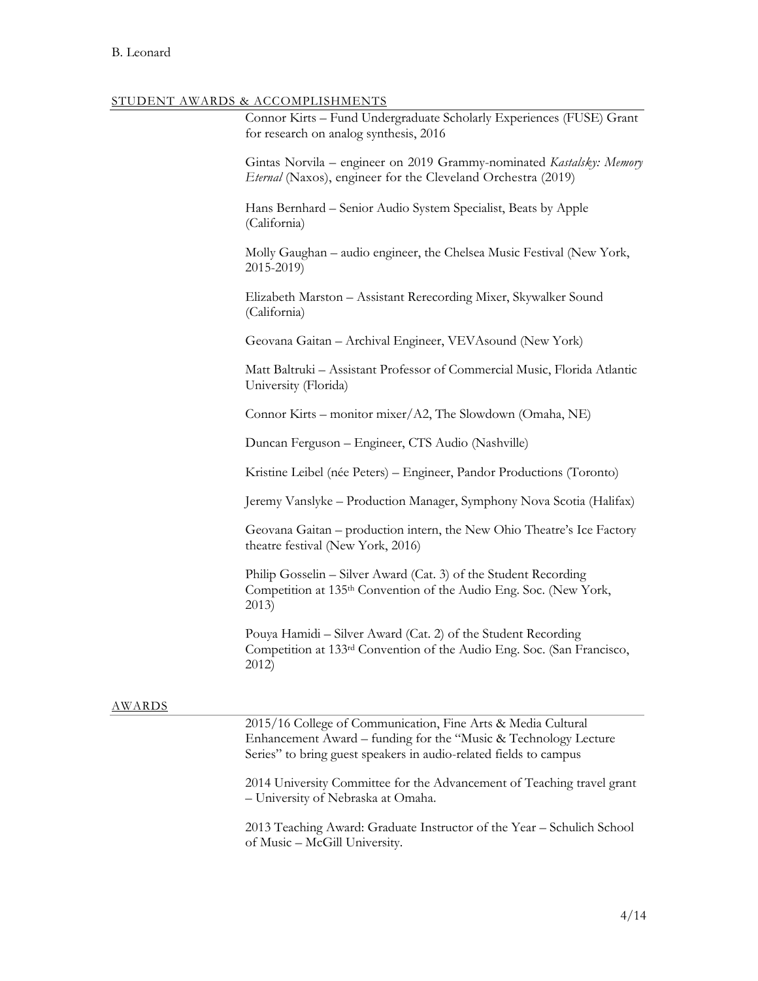### STUDENT AWARDS & ACCOMPLISHMENTS

Connor Kirts – Fund Undergraduate Scholarly Experiences (FUSE) Grant for research on analog synthesis, 2016

Gintas Norvila – engineer on 2019 Grammy-nominated *Kastalsky: Memory Eternal* (Naxos), engineer for the Cleveland Orchestra (2019)

Hans Bernhard – Senior Audio System Specialist, Beats by Apple (California)

Molly Gaughan – audio engineer, the Chelsea Music Festival (New York, 2015-2019)

Elizabeth Marston – Assistant Rerecording Mixer, Skywalker Sound (California)

Geovana Gaitan – Archival Engineer, VEVAsound (New York)

Matt Baltruki – Assistant Professor of Commercial Music, Florida Atlantic University (Florida)

Connor Kirts – monitor mixer/A2, The Slowdown (Omaha, NE)

Duncan Ferguson – Engineer, CTS Audio (Nashville)

Kristine Leibel (née Peters) – Engineer, Pandor Productions (Toronto)

Jeremy Vanslyke – Production Manager, Symphony Nova Scotia (Halifax)

Geovana Gaitan – production intern, the New Ohio Theatre's Ice Factory theatre festival (New York, 2016)

Philip Gosselin – Silver Award (Cat. 3) of the Student Recording Competition at 135th Convention of the Audio Eng. Soc. (New York, 2013)

Pouya Hamidi – Silver Award (Cat. 2) of the Student Recording Competition at 133rd Convention of the Audio Eng. Soc. (San Francisco, 2012)

### AWARDS

2015/16 College of Communication, Fine Arts & Media Cultural Enhancement Award – funding for the "Music & Technology Lecture Series" to bring guest speakers in audio-related fields to campus

2014 University Committee for the Advancement of Teaching travel grant – University of Nebraska at Omaha.

2013 Teaching Award: Graduate Instructor of the Year – Schulich School of Music – McGill University.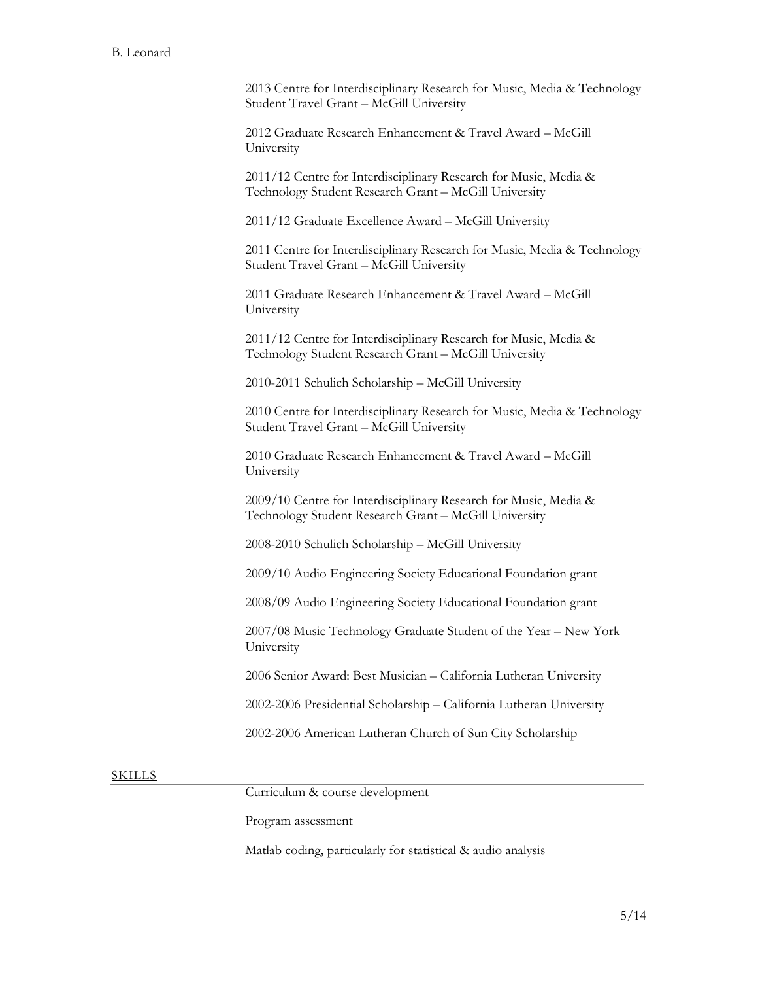### B. Leonard

2013 Centre for Interdisciplinary Research for Music, Media & Technology Student Travel Grant – McGill University

2012 Graduate Research Enhancement & Travel Award – McGill University

2011/12 Centre for Interdisciplinary Research for Music, Media & Technology Student Research Grant – McGill University

2011/12 Graduate Excellence Award – McGill University

2011 Centre for Interdisciplinary Research for Music, Media & Technology Student Travel Grant – McGill University

2011 Graduate Research Enhancement & Travel Award – McGill University

2011/12 Centre for Interdisciplinary Research for Music, Media & Technology Student Research Grant – McGill University

2010-2011 Schulich Scholarship – McGill University

2010 Centre for Interdisciplinary Research for Music, Media & Technology Student Travel Grant – McGill University

2010 Graduate Research Enhancement & Travel Award – McGill University

2009/10 Centre for Interdisciplinary Research for Music, Media & Technology Student Research Grant – McGill University

2008-2010 Schulich Scholarship – McGill University

2009/10 Audio Engineering Society Educational Foundation grant

2008/09 Audio Engineering Society Educational Foundation grant

2007/08 Music Technology Graduate Student of the Year – New York University

2006 Senior Award: Best Musician – California Lutheran University

2002-2006 Presidential Scholarship – California Lutheran University

2002-2006 American Lutheran Church of Sun City Scholarship

### **SKILLS**

Curriculum & course development

Program assessment

Matlab coding, particularly for statistical & audio analysis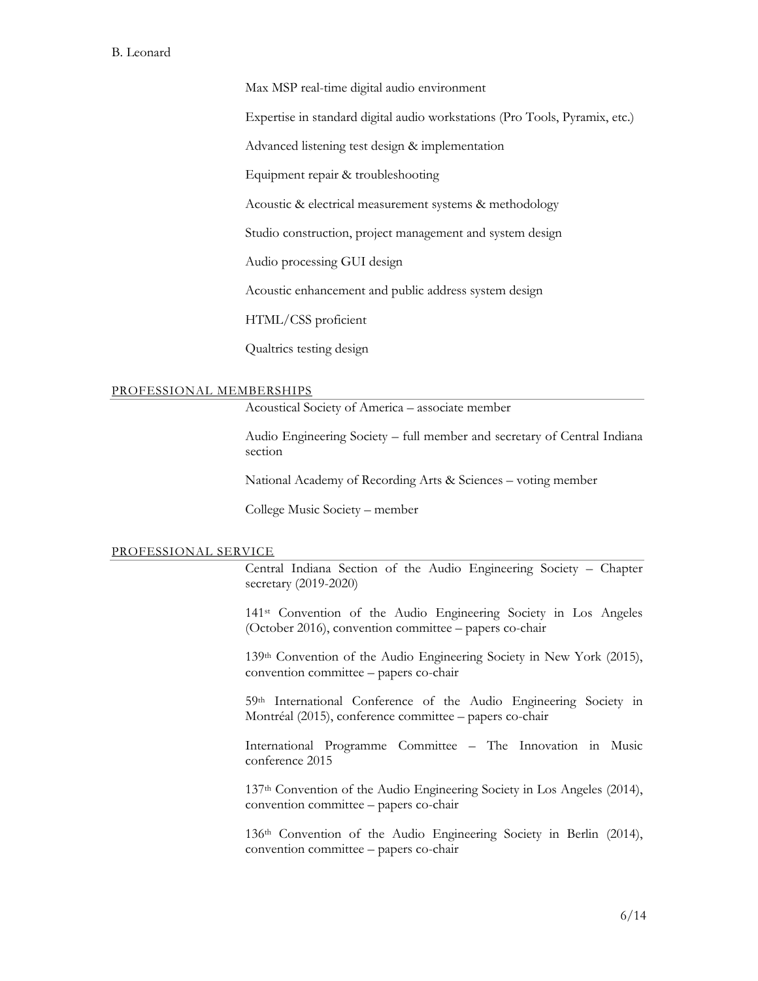### B. Leonard

Max MSP real-time digital audio environment

Expertise in standard digital audio workstations (Pro Tools, Pyramix, etc.)

Advanced listening test design & implementation

Equipment repair & troubleshooting

Acoustic & electrical measurement systems & methodology

Studio construction, project management and system design

Audio processing GUI design

Acoustic enhancement and public address system design

HTML/CSS proficient

Qualtrics testing design

### PROFESSIONAL MEMBERSHIPS

Acoustical Society of America – associate member

Audio Engineering Society – full member and secretary of Central Indiana section

National Academy of Recording Arts & Sciences – voting member

College Music Society – member

### PROFESSIONAL SERVICE

Central Indiana Section of the Audio Engineering Society – Chapter secretary (2019-2020)

141st Convention of the Audio Engineering Society in Los Angeles (October 2016), convention committee – papers co-chair

139th Convention of the Audio Engineering Society in New York (2015), convention committee – papers co-chair

59th International Conference of the Audio Engineering Society in Montréal (2015), conference committee – papers co-chair

International Programme Committee – The Innovation in Music conference 2015

137th Convention of the Audio Engineering Society in Los Angeles (2014), convention committee – papers co-chair

136th Convention of the Audio Engineering Society in Berlin (2014), convention committee – papers co-chair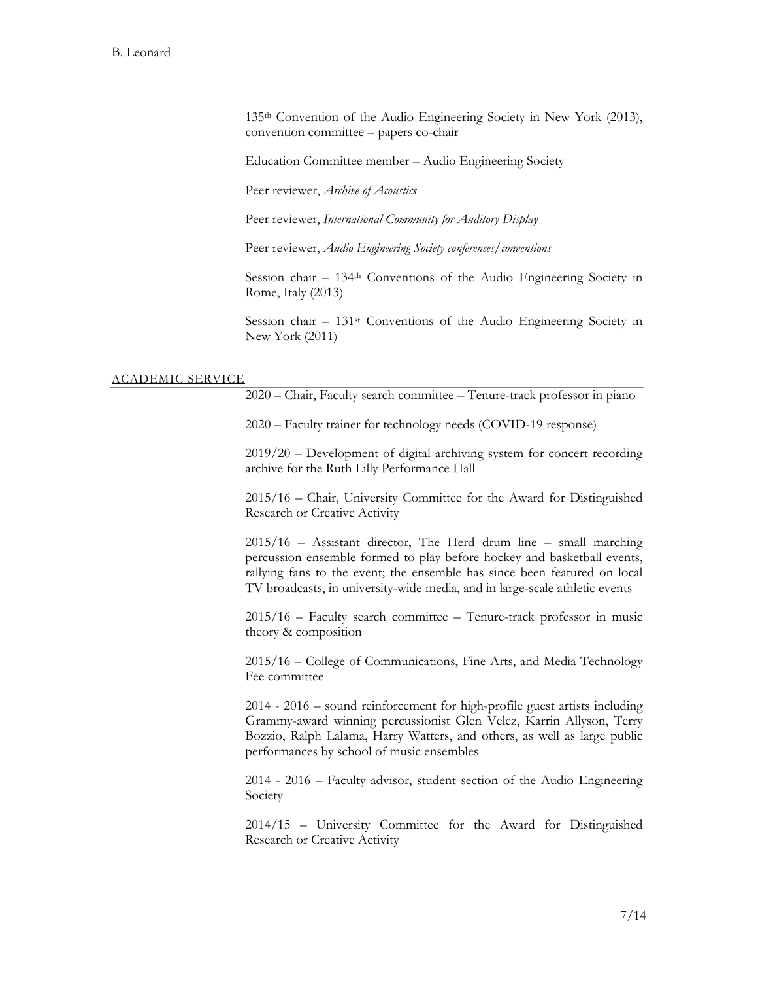135th Convention of the Audio Engineering Society in New York (2013), convention committee – papers co-chair

Education Committee member – Audio Engineering Society

Peer reviewer, *Archive of Acoustics*

Peer reviewer, *International Community for Auditory Display*

Peer reviewer, *Audio Engineering Society conferences/conventions*

Session chair – 134th Conventions of the Audio Engineering Society in Rome, Italy (2013)

Session chair – 131<sup>st</sup> Conventions of the Audio Engineering Society in New York (2011)

### ACADEMIC SERVICE

2020 – Chair, Faculty search committee – Tenure-track professor in piano

2020 – Faculty trainer for technology needs (COVID-19 response)

2019/20 – Development of digital archiving system for concert recording archive for the Ruth Lilly Performance Hall

2015/16 – Chair, University Committee for the Award for Distinguished Research or Creative Activity

2015/16 – Assistant director, The Herd drum line – small marching percussion ensemble formed to play before hockey and basketball events, rallying fans to the event; the ensemble has since been featured on local TV broadcasts, in university-wide media, and in large-scale athletic events

2015/16 – Faculty search committee – Tenure-track professor in music theory & composition

2015/16 – College of Communications, Fine Arts, and Media Technology Fee committee

2014 - 2016 – sound reinforcement for high-profile guest artists including Grammy-award winning percussionist Glen Velez, Karrin Allyson, Terry Bozzio, Ralph Lalama, Harry Watters, and others, as well as large public performances by school of music ensembles

2014 - 2016 – Faculty advisor, student section of the Audio Engineering Society

2014/15 – University Committee for the Award for Distinguished Research or Creative Activity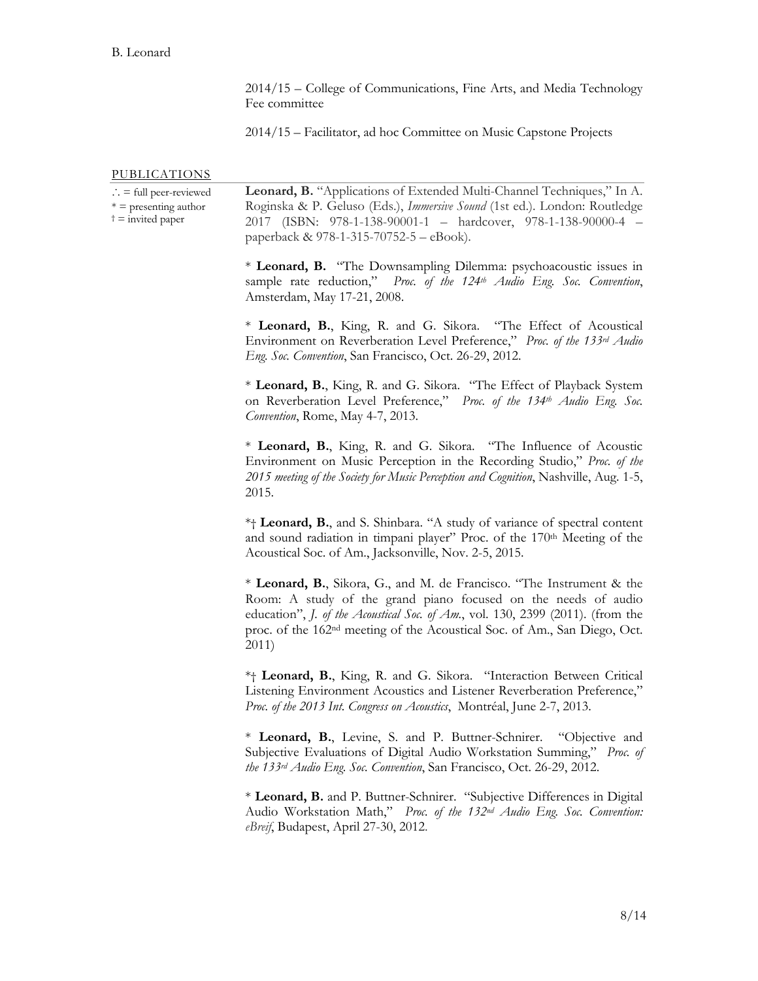2014/15 – College of Communications, Fine Arts, and Media Technology Fee committee

2014/15 – Facilitator, ad hoc Committee on Music Capstone Projects

### PUBLICATIONS

∴ = full peer-reviewed  $* =$  presenting author † = invited paper **Leonard, B.** "Applications of Extended Multi-Channel Techniques," In A. Roginska & P. Geluso (Eds.), *Immersive Sound* (1st ed.). London: Routledge 2017 (ISBN: 978-1-138-90001-1 – hardcover, 978-1-138-90000-4 – paperback & 978-1-315-70752-5 – eBook). \* **Leonard, B.** "The Downsampling Dilemma: psychoacoustic issues in sample rate reduction," *Proc. of the 124th Audio Eng. Soc. Convention*, Amsterdam, May 17-21, 2008. \* **Leonard, B.**, King, R. and G. Sikora. "The Effect of Acoustical Environment on Reverberation Level Preference," *Proc. of the 133rd Audio Eng. Soc. Convention*, San Francisco, Oct. 26-29, 2012. \* **Leonard, B.**, King, R. and G. Sikora. "The Effect of Playback System on Reverberation Level Preference," *Proc. of the 134th Audio Eng. Soc. Convention*, Rome, May 4-7, 2013. \* **Leonard, B.**, King, R. and G. Sikora. "The Influence of Acoustic Environment on Music Perception in the Recording Studio," *Proc. of the 2015 meeting of the Society for Music Perception and Cognition*, Nashville, Aug. 1-5, 2015. \*† **Leonard, B.**, and S. Shinbara. "A study of variance of spectral content and sound radiation in timpani player" Proc. of the 170<sup>th</sup> Meeting of the Acoustical Soc. of Am., Jacksonville, Nov. 2-5, 2015. \* **Leonard, B.**, Sikora, G., and M. de Francisco. "The Instrument & the Room: A study of the grand piano focused on the needs of audio education", *J. of the Acoustical Soc. of Am.*, vol. 130, 2399 (2011). (from the proc. of the 162nd meeting of the Acoustical Soc. of Am., San Diego, Oct. 2011) \*† **Leonard, B.**, King, R. and G. Sikora. "Interaction Between Critical Listening Environment Acoustics and Listener Reverberation Preference," *Proc. of the 2013 Int. Congress on Acoustics*, Montréal, June 2-7, 2013. \* **Leonard, B.**, Levine, S. and P. Buttner-Schnirer. "Objective and Subjective Evaluations of Digital Audio Workstation Summing," *Proc. of the 133rd Audio Eng. Soc. Convention*, San Francisco, Oct. 26-29, 2012. \* **Leonard, B.** and P. Buttner-Schnirer. "Subjective Differences in Digital Audio Workstation Math," *Proc. of the 132nd Audio Eng. Soc. Convention: eBreif*, Budapest, April 27-30, 2012.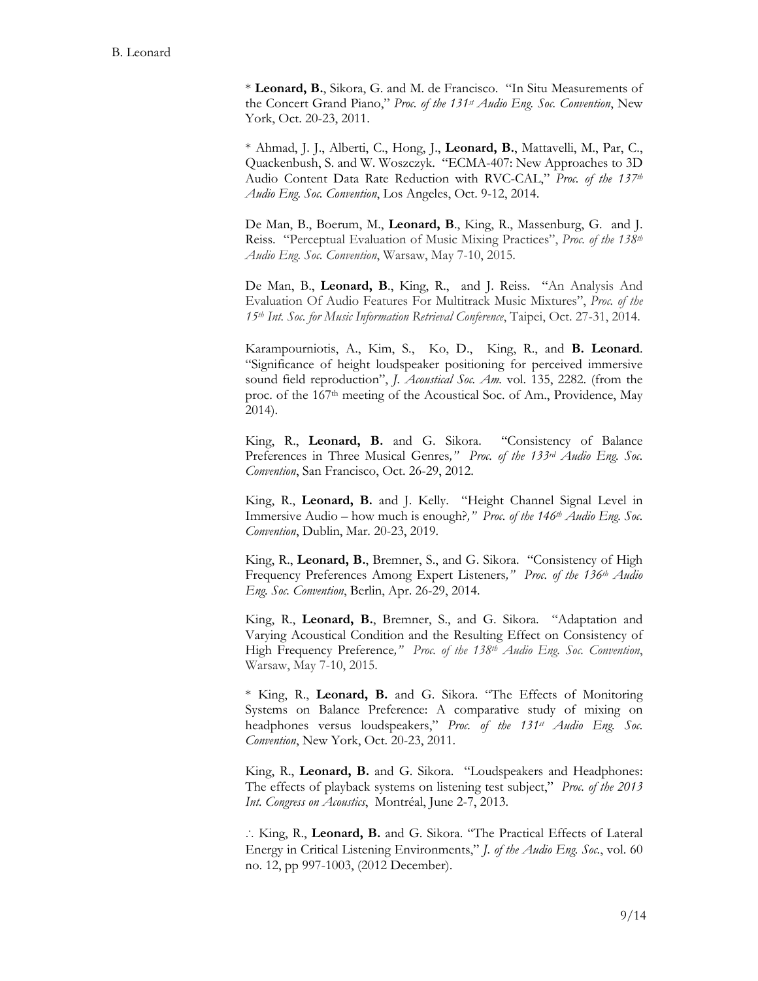\* **Leonard, B.**, Sikora, G. and M. de Francisco. "In Situ Measurements of the Concert Grand Piano," *Proc. of the 131st Audio Eng. Soc. Convention*, New York, Oct. 20-23, 2011.

\* Ahmad, J. J., Alberti, C., Hong, J., **Leonard, B.**, Mattavelli, M., Par, C., Quackenbush, S. and W. Woszczyk. "ECMA-407: New Approaches to 3D Audio Content Data Rate Reduction with RVC-CAL," *Proc. of the 137th Audio Eng. Soc. Convention*, Los Angeles, Oct. 9-12, 2014.

De Man, B., Boerum, M., **Leonard, B**., King, R., Massenburg, G. and J. Reiss. "Perceptual Evaluation of Music Mixing Practices", *Proc. of the 138th Audio Eng. Soc. Convention*, Warsaw, May 7-10, 2015.

De Man, B., **Leonard, B**., King, R., and J. Reiss. "An Analysis And Evaluation Of Audio Features For Multitrack Music Mixtures", *Proc. of the 15th Int. Soc. for Music Information Retrieval Conference*, Taipei, Oct. 27-31, 2014.

Karampourniotis, A., Kim, S., Ko, D., King, R., and **B. Leonard**. "Significance of height loudspeaker positioning for perceived immersive sound field reproduction", *J. Acoustical Soc. Am.* vol. 135, 2282. (from the proc. of the 167th meeting of the Acoustical Soc. of Am., Providence, May 2014).

King, R., **Leonard, B.** and G. Sikora. "Consistency of Balance Preferences in Three Musical Genres*," Proc. of the 133rd Audio Eng. Soc. Convention*, San Francisco, Oct. 26-29, 2012.

King, R., **Leonard, B.** and J. Kelly. "Height Channel Signal Level in Immersive Audio – how much is enough?*," Proc. of the 146th Audio Eng. Soc. Convention*, Dublin, Mar. 20-23, 2019.

King, R., **Leonard, B.**, Bremner, S., and G. Sikora. "Consistency of High Frequency Preferences Among Expert Listeners*," Proc. of the 136th Audio Eng. Soc. Convention*, Berlin, Apr. 26-29, 2014.

King, R., **Leonard, B.**, Bremner, S., and G. Sikora. "Adaptation and Varying Acoustical Condition and the Resulting Effect on Consistency of High Frequency Preference*," Proc. of the 138th Audio Eng. Soc. Convention*, Warsaw, May 7-10, 2015.

\* King, R., **Leonard, B.** and G. Sikora. "The Effects of Monitoring Systems on Balance Preference: A comparative study of mixing on headphones versus loudspeakers," *Proc.* of the 131st Audio Eng. Soc. *Convention*, New York, Oct. 20-23, 2011.

King, R., **Leonard, B.** and G. Sikora. "Loudspeakers and Headphones: The effects of playback systems on listening test subject," *Proc. of the 2013 Int. Congress on Acoustics*, Montréal, June 2-7, 2013.

∴ King, R., **Leonard, B.** and G. Sikora. "The Practical Effects of Lateral Energy in Critical Listening Environments," *J. of the Audio Eng. Soc.*, vol. 60 no. 12, pp 997-1003, (2012 December).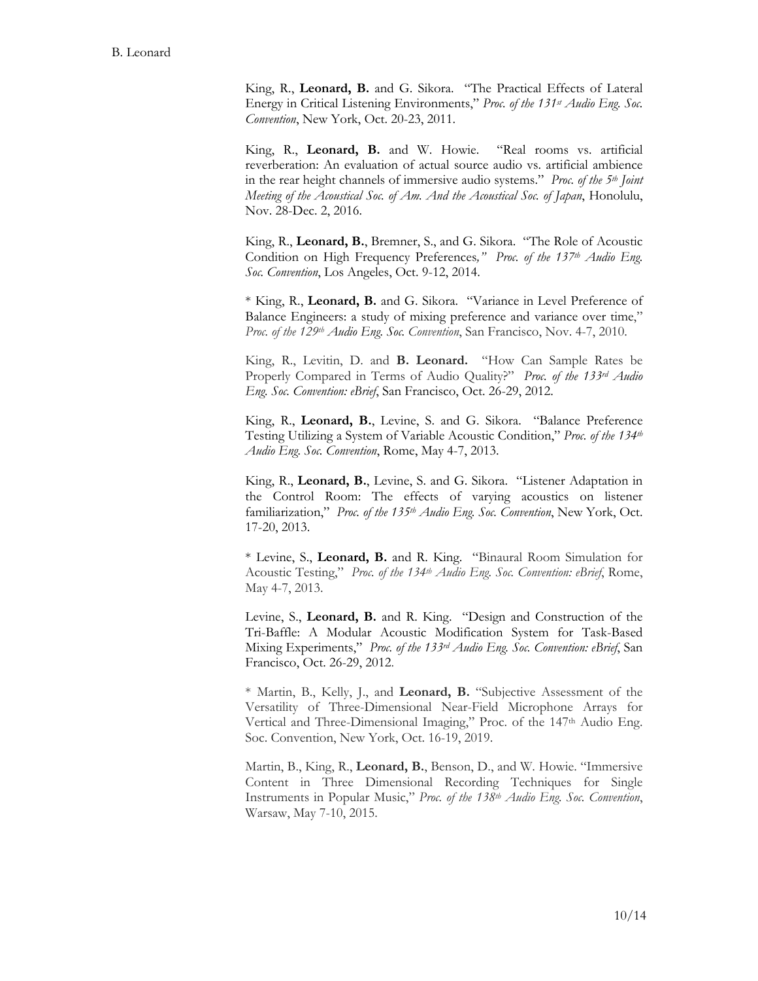King, R., **Leonard, B.** and G. Sikora. "The Practical Effects of Lateral Energy in Critical Listening Environments," *Proc. of the 131st Audio Eng. Soc. Convention*, New York, Oct. 20-23, 2011.

King, R., **Leonard, B.** and W. Howie. "Real rooms vs. artificial reverberation: An evaluation of actual source audio vs. artificial ambience in the rear height channels of immersive audio systems." *Proc. of the 5th Joint Meeting of the Acoustical Soc. of Am. And the Acoustical Soc. of Japan*, Honolulu, Nov. 28-Dec. 2, 2016.

King, R., **Leonard, B.**, Bremner, S., and G. Sikora. "The Role of Acoustic Condition on High Frequency Preferences*," Proc. of the 137th Audio Eng. Soc. Convention*, Los Angeles, Oct. 9-12, 2014.

\* King, R., **Leonard, B.** and G. Sikora. "Variance in Level Preference of Balance Engineers: a study of mixing preference and variance over time," *Proc. of the 129th Audio Eng. Soc. Convention*, San Francisco, Nov. 4-7, 2010.

King, R., Levitin, D. and **B. Leonard.** "How Can Sample Rates be Properly Compared in Terms of Audio Quality?" *Proc. of the 133rd Audio Eng. Soc. Convention: eBrief*, San Francisco, Oct. 26-29, 2012.

King, R., **Leonard, B.**, Levine, S. and G. Sikora. "Balance Preference Testing Utilizing a System of Variable Acoustic Condition," *Proc. of the 134th Audio Eng. Soc. Convention*, Rome, May 4-7, 2013.

King, R., **Leonard, B.**, Levine, S. and G. Sikora. "Listener Adaptation in the Control Room: The effects of varying acoustics on listener familiarization," *Proc. of the 135th Audio Eng. Soc. Convention*, New York, Oct. 17-20, 2013.

\* Levine, S., **Leonard, B.** and R. King. "Binaural Room Simulation for Acoustic Testing," *Proc. of the 134th Audio Eng. Soc. Convention: eBrief*, Rome, May 4-7, 2013.

Levine, S., **Leonard, B.** and R. King. "Design and Construction of the Tri-Baffle: A Modular Acoustic Modification System for Task-Based Mixing Experiments," *Proc. of the 133rd Audio Eng. Soc. Convention: eBrief*, San Francisco, Oct. 26-29, 2012.

\* Martin, B., Kelly, J., and **Leonard, B.** "Subjective Assessment of the Versatility of Three-Dimensional Near-Field Microphone Arrays for Vertical and Three-Dimensional Imaging," Proc. of the 147th Audio Eng. Soc. Convention, New York, Oct. 16-19, 2019.

Martin, B., King, R., **Leonard, B.**, Benson, D., and W. Howie. "Immersive Content in Three Dimensional Recording Techniques for Single Instruments in Popular Music," *Proc. of the 138th Audio Eng. Soc. Convention*, Warsaw, May 7-10, 2015.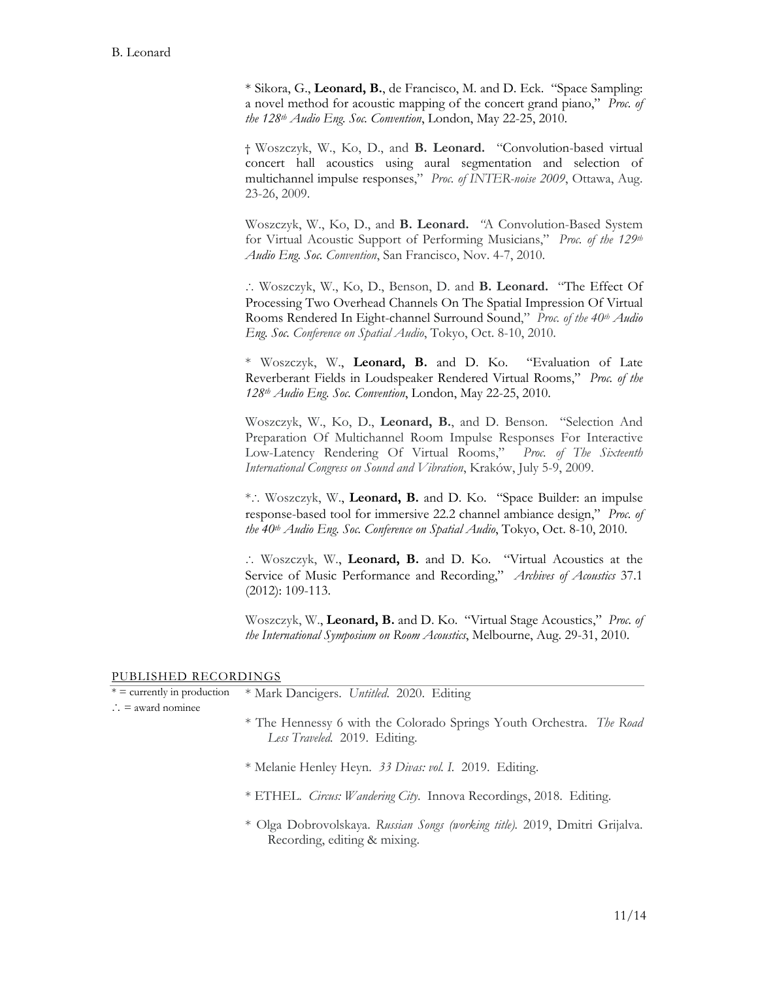\* Sikora, G., **Leonard, B.**, de Francisco, M. and D. Eck. "Space Sampling: a novel method for acoustic mapping of the concert grand piano," *Proc. of the 128th Audio Eng. Soc. Convention*, London, May 22-25, 2010.

† Woszczyk, W., Ko, D., and **B. Leonard.** "Convolution-based virtual concert hall acoustics using aural segmentation and selection of multichannel impulse responses," *Proc. of INTER-noise 2009*, Ottawa, Aug. 23-26, 2009.

Woszczyk, W., Ko, D., and **B. Leonard.** *"*A Convolution-Based System for Virtual Acoustic Support of Performing Musicians," *Proc. of the 129th Audio Eng. Soc. Convention*, San Francisco, Nov. 4-7, 2010.

∴ Woszczyk, W., Ko, D., Benson, D. and **B. Leonard.** "The Effect Of Processing Two Overhead Channels On The Spatial Impression Of Virtual Rooms Rendered In Eight-channel Surround Sound," *Proc. of the 40th Audio Eng. Soc. Conference on Spatial Audio*, Tokyo, Oct. 8-10, 2010.

\* Woszczyk, W., **Leonard, B.** and D. Ko. "Evaluation of Late Reverberant Fields in Loudspeaker Rendered Virtual Rooms," *Proc. of the 128th Audio Eng. Soc. Convention*, London, May 22-25, 2010.

Woszczyk, W., Ko, D., **Leonard, B.**, and D. Benson. "Selection And Preparation Of Multichannel Room Impulse Responses For Interactive Low-Latency Rendering Of Virtual Rooms," *Proc. of The Sixteenth International Congress on Sound and Vibration*, Kraków, July 5-9, 2009.

\*∴ Woszczyk, W., **Leonard, B.** and D. Ko. "Space Builder: an impulse response-based tool for immersive 22.2 channel ambiance design," *Proc. of the 40th Audio Eng. Soc. Conference on Spatial Audio*, Tokyo, Oct. 8-10, 2010.

∴ Woszczyk, W., **Leonard, B.** and D. Ko. "Virtual Acoustics at the Service of Music Performance and Recording," *Archives of Acoustics* 37.1 (2012): 109-113.

Woszczyk, W., **Leonard, B.** and D. Ko. "Virtual Stage Acoustics," *Proc. of the International Symposium on Room Acoustics*, Melbourne, Aug. 29-31, 2010.

| $*$ = currently in production | * Mark Dancigers. Untitled. 2020. Editing                                                                   |  |
|-------------------------------|-------------------------------------------------------------------------------------------------------------|--|
| $\therefore$ = award nominee  |                                                                                                             |  |
|                               | * The Hennessy 6 with the Colorado Springs Youth Orchestra. The Road<br>Less Traveled. 2019. Editing.       |  |
|                               | * Melanie Henley Heyn. 33 Divas: vol. I. 2019. Editing.                                                     |  |
|                               | * ETHEL. Circus: Wandering City. Innova Recordings, 2018. Editing.                                          |  |
|                               | * Olga Dobrovolskaya. Russian Songs (working title). 2019, Dmitri Grijalva.<br>Recording, editing & mixing. |  |

### PUBLISHED RECORDINGS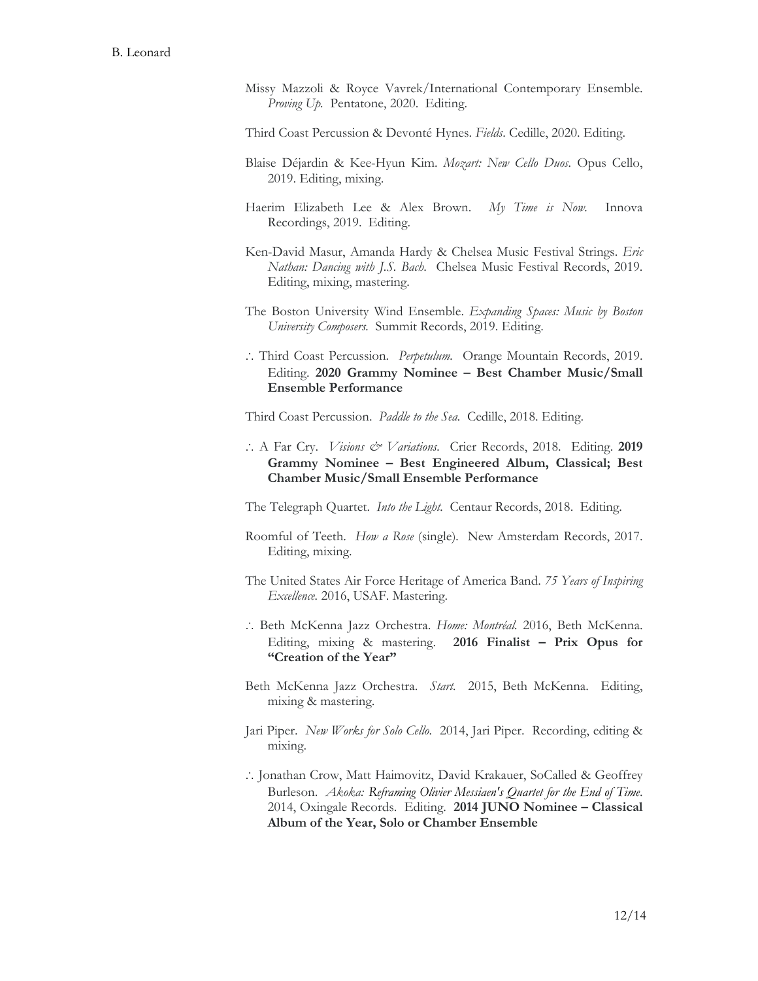Missy Mazzoli & Royce Vavrek/International Contemporary Ensemble. *Proving Up.* Pentatone, 2020. Editing.

Third Coast Percussion & Devonté Hynes. *Fields*. Cedille, 2020. Editing.

- Blaise Déjardin & Kee-Hyun Kim. *Mozart: New Cello Duos.* Opus Cello, 2019. Editing, mixing.
- Haerim Elizabeth Lee & Alex Brown. *My Time is Now.* Innova Recordings, 2019. Editing.
- Ken-David Masur, Amanda Hardy & Chelsea Music Festival Strings. *Eric Nathan: Dancing with J.S. Bach*. Chelsea Music Festival Records, 2019. Editing, mixing, mastering.
- The Boston University Wind Ensemble. *Expanding Spaces: Music by Boston University Composers.* Summit Records, 2019. Editing.
- ∴ Third Coast Percussion. *Perpetulum.* Orange Mountain Records, 2019. Editing. **2020 Grammy Nominee – Best Chamber Music/Small Ensemble Performance**

Third Coast Percussion. *Paddle to the Sea.* Cedille, 2018. Editing.

∴ A Far Cry. *Visions & Variations.* Crier Records, 2018. Editing. **2019 Grammy Nominee – Best Engineered Album, Classical; Best Chamber Music/Small Ensemble Performance**

The Telegraph Quartet. *Into the Light.* Centaur Records, 2018. Editing.

- Roomful of Teeth. *How a Rose* (single)*.* New Amsterdam Records, 2017. Editing, mixing.
- The United States Air Force Heritage of America Band. *75 Years of Inspiring Excellence.* 2016, USAF. Mastering.
- ∴ Beth McKenna Jazz Orchestra. *Home: Montréal.* 2016, Beth McKenna. Editing, mixing & mastering. **2016 Finalist – Prix Opus for "Creation of the Year"**
- Beth McKenna Jazz Orchestra. *Start.* 2015, Beth McKenna. Editing, mixing & mastering.
- Jari Piper. *New Works for Solo Cello.* 2014, Jari Piper. Recording, editing & mixing.
- ∴ Jonathan Crow, Matt Haimovitz, David Krakauer, SoCalled & Geoffrey Burleson. *Akoka: Reframing Olivier Messiaen's Quartet for the End of Time*. 2014, Oxingale Records. Editing. **2014 JUNO Nominee – Classical Album of the Year, Solo or Chamber Ensemble**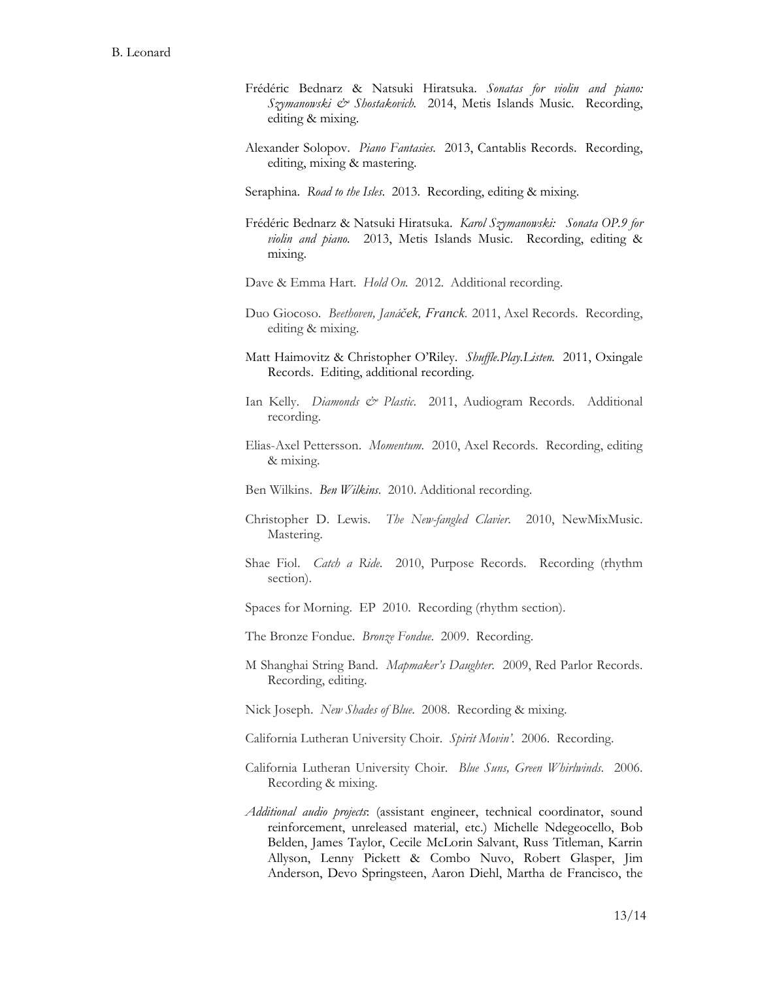- Frédéric Bednarz & Natsuki Hiratsuka. *Sonatas for violin and piano: Szymanowski & Shostakovich.* 2014, Metis Islands Music. Recording, editing & mixing.
- Alexander Solopov. *Piano Fantasies.* 2013, Cantablis Records. Recording, editing, mixing & mastering.
- Seraphina. *Road to the Isles*. 2013. Recording, editing & mixing.
- Frédéric Bednarz & Natsuki Hiratsuka. *Karol Szymanowski: Sonata OP.9 for violin and piano.* 2013, Metis Islands Music. Recording, editing & mixing.
- Dave & Emma Hart. *Hold On.* 2012. Additional recording.
- Duo Giocoso. *Beethoven, Janáček, Franck.* 2011, Axel Records. Recording, editing & mixing.
- Matt Haimovitz & Christopher O'Riley. *Shuffle.Play.Listen.* 2011, Oxingale Records. Editing, additional recording.
- Ian Kelly. *Diamonds & Plastic*. 2011, Audiogram Records. Additional recording.
- Elias-Axel Pettersson. *Momentum*. 2010, Axel Records. Recording, editing & mixing.
- Ben Wilkins. *Ben Wilkins*. 2010. Additional recording.
- Christopher D. Lewis. *The New-fangled Clavier*. 2010, NewMixMusic. Mastering.
- Shae Fiol. *Catch a Ride*. 2010, Purpose Records. Recording (rhythm section).
- Spaces for Morning. EP 2010. Recording (rhythm section).
- The Bronze Fondue. *Bronze Fondue*. 2009. Recording.
- M Shanghai String Band. *Mapmaker's Daughter*. 2009, Red Parlor Records. Recording, editing.
- Nick Joseph. *New Shades of Blue*. 2008. Recording & mixing.
- California Lutheran University Choir. *Spirit Movin'*. 2006. Recording.
- California Lutheran University Choir. *Blue Suns, Green Whirlwinds*. 2006. Recording & mixing.
- *Additional audio projects*: (assistant engineer, technical coordinator, sound reinforcement, unreleased material, etc.) Michelle Ndegeocello, Bob Belden, James Taylor, Cecile McLorin Salvant, Russ Titleman, Karrin Allyson, Lenny Pickett & Combo Nuvo, Robert Glasper, Jim Anderson, Devo Springsteen, Aaron Diehl, Martha de Francisco, the